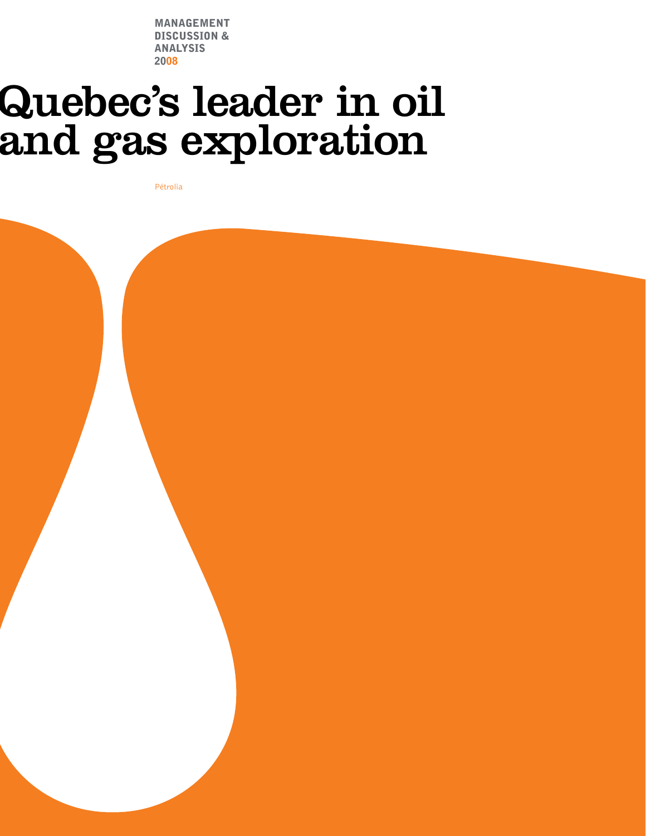Management discussion & analysis 2008

# Quebec's leader in oil<br>and gas exploration

Pétrolia

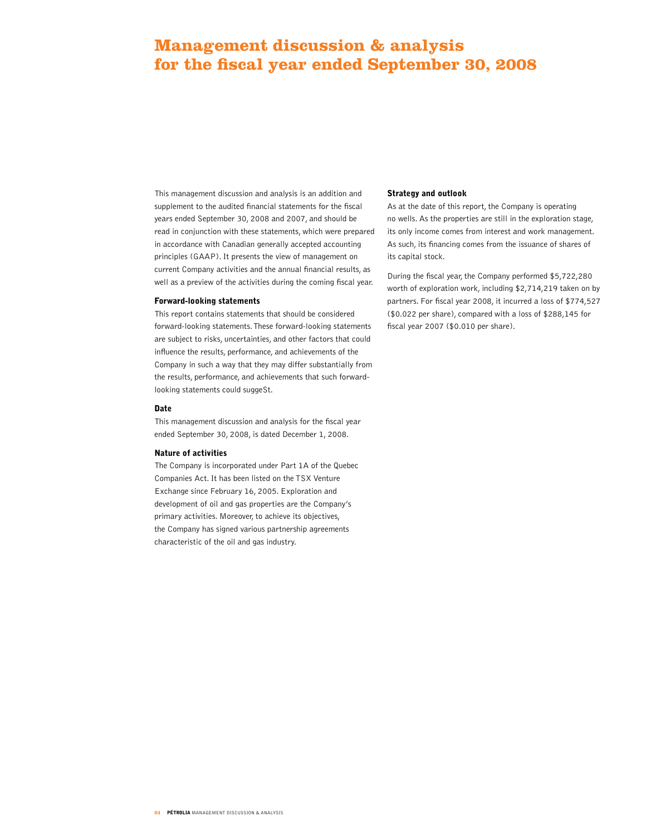# **Management discussion & analysis for the fiscal year ended September 30, 2008**

This management discussion and analysis is an addition and supplement to the audited financial statements for the fiscal years ended September 30, 2008 and 2007, and should be read in conjunction with these statements, which were prepared in accordance with Canadian generally accepted accounting principles (GAAP). It presents the view of management on current Company activities and the annual financial results, as well as a preview of the activities during the coming fiscal year.

# Forward-looking statements

This report contains statements that should be considered forward-looking statements. These forward-looking statements are subject to risks, uncertainties, and other factors that could influence the results, performance, and achievements of the Company in such a way that they may differ substantially from the results, performance, and achievements that such forwardlooking statements could suggeSt.

#### Date

This management discussion and analysis for the fiscal year ended September 30, 2008, is dated December 1, 2008.

# Nature of activities

The Company is incorporated under Part 1A of the Quebec Companies Act. It has been listed on the TSX Venture Exchange since February 16, 2005. Exploration and development of oil and gas properties are the Company's primary activities. Moreover, to achieve its objectives, the Company has signed various partnership agreements characteristic of the oil and gas industry.

# Strategy and outlook

As at the date of this report, the Company is operating no wells. As the properties are still in the exploration stage, its only income comes from interest and work management. As such, its financing comes from the issuance of shares of its capital stock.

During the fiscal year, the Company performed \$5,722,280 worth of exploration work, including \$2,714,219 taken on by partners. For fiscal year 2008, it incurred a loss of \$774,527 (\$0.022 per share), compared with a loss of \$288,145 for fiscal year 2007 (\$0.010 per share).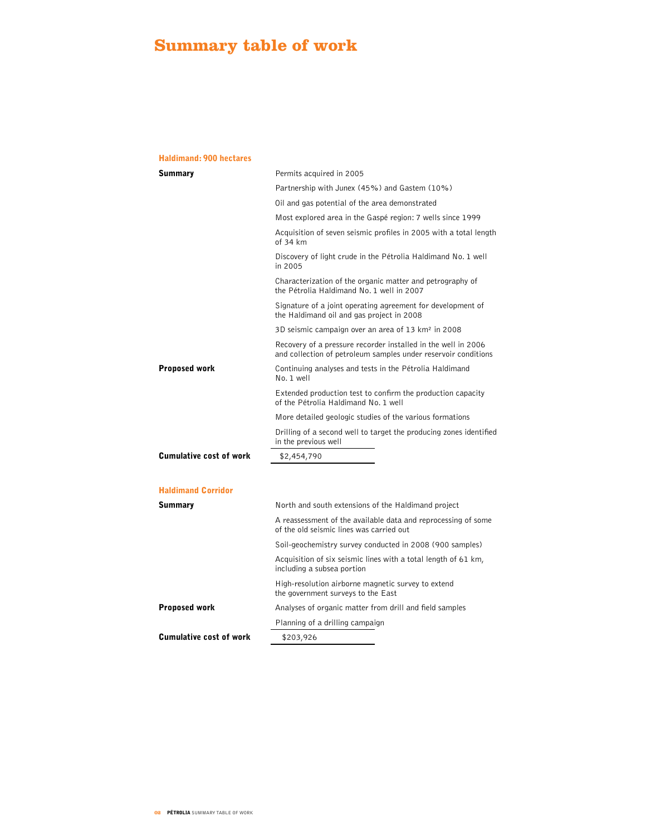# **Summary table of work**

# Haldimand: 900 hectares

| <b>Summary</b>                 | Permits acquired in 2005                                                                                                        |  |  |
|--------------------------------|---------------------------------------------------------------------------------------------------------------------------------|--|--|
|                                | Partnership with Junex (45%) and Gastem (10%)                                                                                   |  |  |
|                                | Oil and gas potential of the area demonstrated                                                                                  |  |  |
|                                | Most explored area in the Gaspé region: 7 wells since 1999                                                                      |  |  |
|                                | Acquisition of seven seismic profiles in 2005 with a total length<br>of 34 km                                                   |  |  |
|                                | Discovery of light crude in the Pétrolia Haldimand No. 1 well<br>in 2005                                                        |  |  |
|                                | Characterization of the organic matter and petrography of<br>the Pétrolia Haldimand No. 1 well in 2007                          |  |  |
|                                | Signature of a joint operating agreement for development of<br>the Haldimand oil and gas project in 2008                        |  |  |
|                                | 3D seismic campaign over an area of 13 km <sup>2</sup> in 2008                                                                  |  |  |
|                                | Recovery of a pressure recorder installed in the well in 2006<br>and collection of petroleum samples under reservoir conditions |  |  |
| <b>Proposed work</b>           | Continuing analyses and tests in the Pétrolia Haldimand<br>No. 1 well                                                           |  |  |
|                                | Extended production test to confirm the production capacity<br>of the Pétrolia Haldimand No. 1 well                             |  |  |
|                                | More detailed geologic studies of the various formations                                                                        |  |  |
|                                | Drilling of a second well to target the producing zones identified<br>in the previous well                                      |  |  |
| <b>Cumulative cost of work</b> | \$2,454,790                                                                                                                     |  |  |
|                                |                                                                                                                                 |  |  |
| <b>Haldimand Corridor</b>      |                                                                                                                                 |  |  |
| <b>Summary</b>                 | North and south extensions of the Haldimand project                                                                             |  |  |
|                                | A reassessment of the available data and reprocessing of some<br>of the old seismic lines was carried out                       |  |  |
|                                | Soil-geochemistry survey conducted in 2008 (900 samples)                                                                        |  |  |
|                                | Acquisition of six seismic lines with a total length of 61 km,<br>including a subsea portion                                    |  |  |
|                                | High-resolution airborne magnetic survey to extend<br>the government surveys to the East                                        |  |  |
| <b>Proposed work</b>           | Analyses of organic matter from drill and field samples                                                                         |  |  |
|                                | Planning of a drilling campaign                                                                                                 |  |  |
| <b>Cumulative cost of work</b> | \$203,926                                                                                                                       |  |  |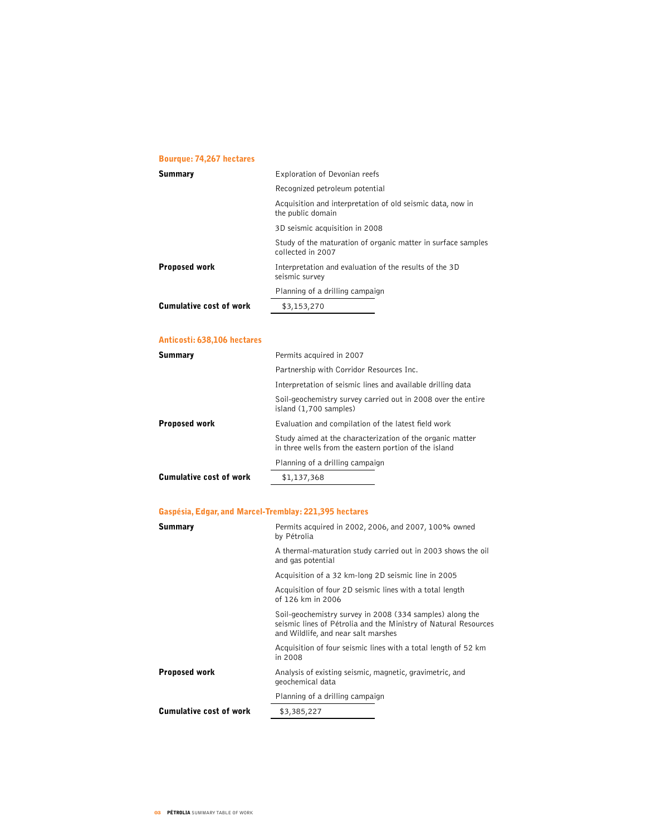# Bourque: 74,267 hectares

| <b>Summary</b>          | Exploration of Devonian reefs                                                     |
|-------------------------|-----------------------------------------------------------------------------------|
|                         | Recognized petroleum potential                                                    |
|                         | Acquisition and interpretation of old seismic data, now in<br>the public domain   |
|                         | 3D seismic acquisition in 2008                                                    |
|                         | Study of the maturation of organic matter in surface samples<br>collected in 2007 |
| <b>Proposed work</b>    | Interpretation and evaluation of the results of the 3D<br>seismic survey          |
|                         | Planning of a drilling campaign                                                   |
| Cumulative cost of work | \$3,153,270                                                                       |

# Anticosti: 638,106 hectares

| Summary                        | Permits acquired in 2007                                                                                           |
|--------------------------------|--------------------------------------------------------------------------------------------------------------------|
|                                | Partnership with Corridor Resources Inc.                                                                           |
|                                | Interpretation of seismic lines and available drilling data                                                        |
|                                | Soil-geochemistry survey carried out in 2008 over the entire<br>island (1,700 samples)                             |
| Proposed work                  | Evaluation and compilation of the latest field work                                                                |
|                                | Study aimed at the characterization of the organic matter<br>in three wells from the eastern portion of the island |
|                                | Planning of a drilling campaign                                                                                    |
| <b>Cumulative cost of work</b> | \$1,137,368                                                                                                        |
|                                |                                                                                                                    |

# Gaspésia, Edgar, and Marcel-Tremblay: 221,395 hectares

| <b>Summary</b>                 | Permits acquired in 2002, 2006, and 2007, 100% owned<br>by Pétrolia                                                                                                |
|--------------------------------|--------------------------------------------------------------------------------------------------------------------------------------------------------------------|
|                                | A thermal-maturation study carried out in 2003 shows the oil<br>and gas potential                                                                                  |
|                                | Acquisition of a 32 km-long 2D seismic line in 2005                                                                                                                |
|                                | Acquisition of four 2D seismic lines with a total length<br>of 126 km in 2006                                                                                      |
|                                | Soil-geochemistry survey in 2008 (334 samples) along the<br>seismic lines of Pétrolia and the Ministry of Natural Resources<br>and Wildlife, and near salt marshes |
|                                | Acquisition of four seismic lines with a total length of 52 km<br>in 2008                                                                                          |
| <b>Proposed work</b>           | Analysis of existing seismic, magnetic, gravimetric, and<br>geochemical data                                                                                       |
|                                | Planning of a drilling campaign                                                                                                                                    |
| <b>Cumulative cost of work</b> | \$3,385,227                                                                                                                                                        |
|                                |                                                                                                                                                                    |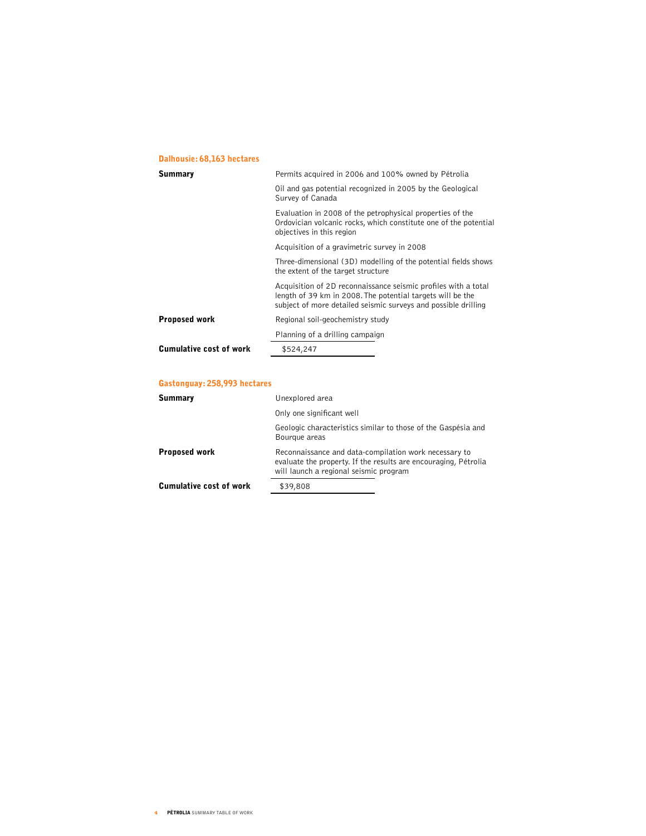# Dalhousie: 68,163 hectares

| <b>Summary</b>                 | Permits acquired in 2006 and 100% owned by Pétrolia                                                                                                                                            |
|--------------------------------|------------------------------------------------------------------------------------------------------------------------------------------------------------------------------------------------|
|                                | Oil and gas potential recognized in 2005 by the Geological<br>Survey of Canada                                                                                                                 |
|                                | Evaluation in 2008 of the petrophysical properties of the<br>Ordovician volcanic rocks, which constitute one of the potential<br>objectives in this region                                     |
|                                | Acquisition of a gravimetric survey in 2008                                                                                                                                                    |
|                                | Three-dimensional (3D) modelling of the potential fields shows<br>the extent of the target structure                                                                                           |
|                                | Acquisition of 2D reconnaissance seismic profiles with a total<br>length of 39 km in 2008. The potential targets will be the<br>subject of more detailed seismic surveys and possible drilling |
| <b>Proposed work</b>           | Regional soil-geochemistry study                                                                                                                                                               |
|                                | Planning of a drilling campaign                                                                                                                                                                |
| <b>Cumulative cost of work</b> | \$524,247                                                                                                                                                                                      |
|                                |                                                                                                                                                                                                |

# Gastonguay: 258,993 hectares

| Summary                        | Unexplored area                                                                                                                                                    |
|--------------------------------|--------------------------------------------------------------------------------------------------------------------------------------------------------------------|
|                                | Only one significant well                                                                                                                                          |
|                                | Geologic characteristics similar to those of the Gaspésia and<br>Bourgue areas                                                                                     |
| <b>Proposed work</b>           | Reconnaissance and data-compilation work necessary to<br>evaluate the property. If the results are encouraging, Pétrolia<br>will launch a regional seismic program |
| <b>Cumulative cost of work</b> | \$39,808                                                                                                                                                           |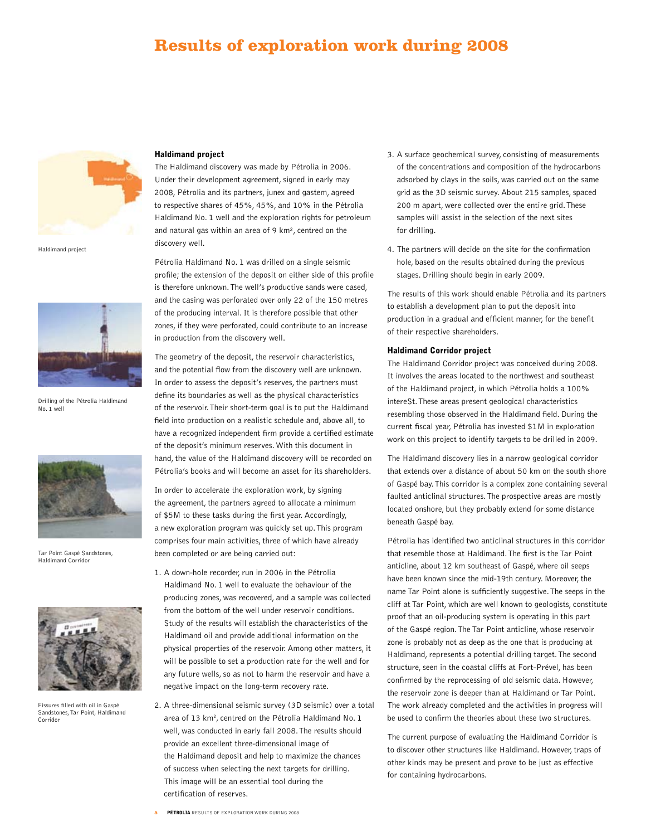# **Results of exploration work during 2008**



Haldimand project



Drilling of the Pétrolia Haldimand No. 1 well



Tar Point Gaspé Sandstones, Haldimand Corridor



Fissures filled with oil in Gaspé Sandstones, Tar Point, Haldimand Corridor

# Haldimand project

The Haldimand discovery was made by Pétrolia in 2006. Under their development agreement, signed in early may 2008, Pétrolia and its partners, junex and gastem, agreed to respective shares of 45%, 45%, and 10% in the Pétrolia Haldimand No. 1 well and the exploration rights for petroleum and natural gas within an area of 9 km², centred on the discovery well.

Pétrolia Haldimand No. 1 was drilled on a single seismic profile; the extension of the deposit on either side of this profile is therefore unknown. The well's productive sands were cased, and the casing was perforated over only 22 of the 150 metres of the producing interval. It is therefore possible that other zones, if they were perforated, could contribute to an increase in production from the discovery well.

The geometry of the deposit, the reservoir characteristics, and the potential flow from the discovery well are unknown. In order to assess the deposit's reserves, the partners must define its boundaries as well as the physical characteristics of the reservoir. Their short-term goal is to put the Haldimand field into production on a realistic schedule and, above all, to have a recognized independent firm provide a certified estimate of the deposit's minimum reserves. With this document in hand, the value of the Haldimand discovery will be recorded on Pétrolia's books and will become an asset for its shareholders.

In order to accelerate the exploration work, by signing the agreement, the partners agreed to allocate a minimum of \$5M to these tasks during the first year. Accordingly, a new exploration program was quickly set up. This program comprises four main activities, three of which have already been completed or are being carried out:

- 1. A down-hole recorder, run in 2006 in the Pétrolia Haldimand No. 1 well to evaluate the behaviour of the producing zones, was recovered, and a sample was collected from the bottom of the well under reservoir conditions. Study of the results will establish the characteristics of the Haldimand oil and provide additional information on the physical properties of the reservoir. Among other matters, it will be possible to set a production rate for the well and for any future wells, so as not to harm the reservoir and have a negative impact on the long-term recovery rate.
- 2. A three-dimensional seismic survey (3D seismic) over a total area of 13 km<sup>2</sup>, centred on the Pétrolia Haldimand No. 1 well, was conducted in early fall 2008. The results should provide an excellent three-dimensional image of the Haldimand deposit and help to maximize the chances of success when selecting the next targets for drilling. This image will be an essential tool during the certification of reserves.
- 3. A surface geochemical survey, consisting of measurements of the concentrations and composition of the hydrocarbons adsorbed by clays in the soils, was carried out on the same grid as the 3D seismic survey. About 215 samples, spaced 200 m apart, were collected over the entire grid. These samples will assist in the selection of the next sites for drilling.
- 4. The partners will decide on the site for the confirmation hole, based on the results obtained during the previous stages. Drilling should begin in early 2009.

The results of this work should enable Pétrolia and its partners to establish a development plan to put the deposit into production in a gradual and efficient manner, for the benefit of their respective shareholders.

#### Haldimand Corridor project

The Haldimand Corridor project was conceived during 2008. It involves the areas located to the northwest and southeast of the Haldimand project, in which Pétrolia holds a 100% intereSt. These areas present geological characteristics resembling those observed in the Haldimand field. During the current fiscal year, Pétrolia has invested \$1M in exploration work on this project to identify targets to be drilled in 2009.

The Haldimand discovery lies in a narrow geological corridor that extends over a distance of about 50 km on the south shore of Gaspé bay. This corridor is a complex zone containing several faulted anticlinal structures. The prospective areas are mostly located onshore, but they probably extend for some distance beneath Gaspé bay.

Pétrolia has identified two anticlinal structures in this corridor that resemble those at Haldimand. The first is the Tar Point anticline, about 12 km southeast of Gaspé, where oil seeps have been known since the mid-19th century. Moreover, the name Tar Point alone is sufficiently suggestive. The seeps in the cliff at Tar Point, which are well known to geologists, constitute proof that an oil-producing system is operating in this part of the Gaspé region. The Tar Point anticline, whose reservoir zone is probably not as deep as the one that is producing at Haldimand, represents a potential drilling target. The second structure, seen in the coastal cliffs at Fort-Prével, has been confirmed by the reprocessing of old seismic data. However, the reservoir zone is deeper than at Haldimand or Tar Point. The work already completed and the activities in progress will be used to confirm the theories about these two structures.

The current purpose of evaluating the Haldimand Corridor is to discover other structures like Haldimand. However, traps of other kinds may be present and prove to be just as effective for containing hydrocarbons.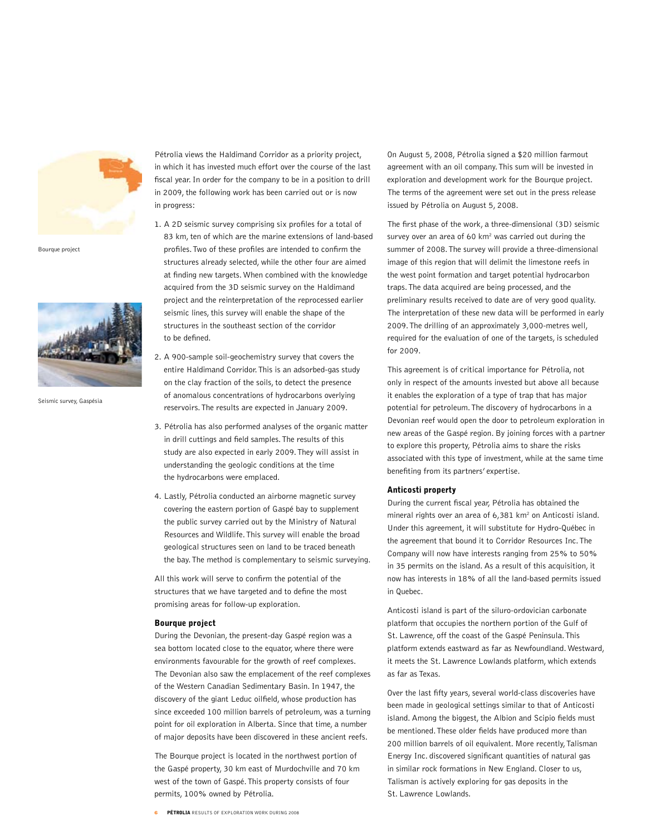

Bourque project



Seismic survey, Gaspésia

Pétrolia views the Haldimand Corridor as a priority project, in which it has invested much effort over the course of the last fiscal year. In order for the company to be in a position to drill in 2009, the following work has been carried out or is now in progress:

- 1. A 2D seismic survey comprising six profiles for a total of 83 km, ten of which are the marine extensions of land-based profiles. Two of these profiles are intended to confirm the structures already selected, while the other four are aimed at finding new targets. When combined with the knowledge acquired from the 3D seismic survey on the Haldimand project and the reinterpretation of the reprocessed earlier seismic lines, this survey will enable the shape of the structures in the southeast section of the corridor to be defined.
- 2. A 900-sample soil-geochemistry survey that covers the entire Haldimand Corridor. This is an adsorbed-gas study on the clay fraction of the soils, to detect the presence of anomalous concentrations of hydrocarbons overlying reservoirs. The results are expected in January 2009.
- 3. Pétrolia has also performed analyses of the organic matter in drill cuttings and field samples. The results of this study are also expected in early 2009. They will assist in understanding the geologic conditions at the time the hydrocarbons were emplaced.
- 4. Lastly, Pétrolia conducted an airborne magnetic survey covering the eastern portion of Gaspé bay to supplement the public survey carried out by the Ministry of Natural Resources and Wildlife. This survey will enable the broad geological structures seen on land to be traced beneath the bay. The method is complementary to seismic surveying.

All this work will serve to confirm the potential of the structures that we have targeted and to define the most promising areas for follow-up exploration.

#### Bourque project

During the Devonian, the present-day Gaspé region was a sea bottom located close to the equator, where there were environments favourable for the growth of reef complexes. The Devonian also saw the emplacement of the reef complexes of the Western Canadian Sedimentary Basin. In 1947, the discovery of the giant Leduc oilfield, whose production has since exceeded 100 million barrels of petroleum, was a turning point for oil exploration in Alberta. Since that time, a number of major deposits have been discovered in these ancient reefs.

The Bourque project is located in the northwest portion of the Gaspé property, 30 km east of Murdochville and 70 km west of the town of Gaspé. This property consists of four permits, 100% owned by Pétrolia.

On August 5, 2008, Pétrolia signed a \$20 million farmout agreement with an oil company. This sum will be invested in exploration and development work for the Bourque project. The terms of the agreement were set out in the press release issued by Pétrolia on August 5, 2008.

The first phase of the work, a three-dimensional (3D) seismic survey over an area of 60  $km^2$  was carried out during the summer of 2008. The survey will provide a three-dimensional image of this region that will delimit the limestone reefs in the west point formation and target potential hydrocarbon traps. The data acquired are being processed, and the preliminary results received to date are of very good quality. The interpretation of these new data will be performed in early 2009. The drilling of an approximately 3,000-metres well, required for the evaluation of one of the targets, is scheduled for 2009.

This agreement is of critical importance for Pétrolia, not only in respect of the amounts invested but above all because it enables the exploration of a type of trap that has major potential for petroleum. The discovery of hydrocarbons in a Devonian reef would open the door to petroleum exploration in new areas of the Gaspé region. By joining forces with a partner to explore this property, Pétrolia aims to share the risks associated with this type of investment, while at the same time benefiting from its partners' expertise.

## Anticosti property

During the current fiscal year, Pétrolia has obtained the mineral rights over an area of 6,381 km2 on Anticosti island. Under this agreement, it will substitute for Hydro-Québec in the agreement that bound it to Corridor Resources Inc. The Company will now have interests ranging from 25% to 50% in 35 permits on the island. As a result of this acquisition, it now has interests in 18% of all the land-based permits issued in Quebec.

Anticosti island is part of the siluro-ordovician carbonate platform that occupies the northern portion of the Gulf of St. Lawrence, off the coast of the Gaspé Peninsula. This platform extends eastward as far as Newfoundland. Westward, it meets the St. Lawrence Lowlands platform, which extends as far as Texas.

Over the last fifty years, several world-class discoveries have been made in geological settings similar to that of Anticosti island. Among the biggest, the Albion and Scipio fields must be mentioned. These older fields have produced more than 200 million barrels of oil equivalent. More recently, Talisman Energy Inc. discovered significant quantities of natural gas in similar rock formations in New England. Closer to us, Talisman is actively exploring for gas deposits in the St. Lawrence Lowlands.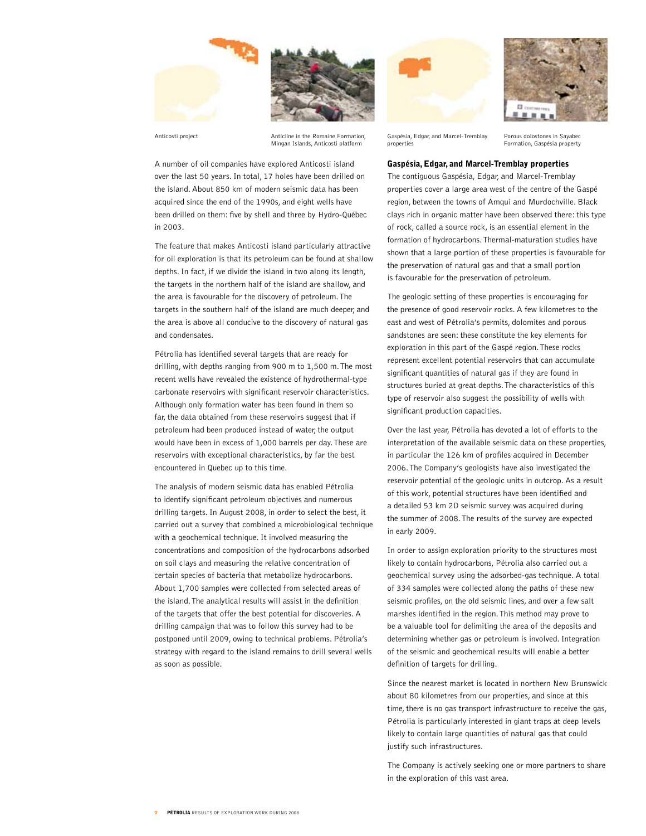





Anticosti project **Anticline** in the Romaine Formation, Mingan Islands, Anticosti platform

A number of oil companies have explored Anticosti island over the last 50 years. In total, 17 holes have been drilled on the island. About 850 km of modern seismic data has been acquired since the end of the 1990s, and eight wells have been drilled on them: five by shell and three by Hydro-Québec in 2003.

The feature that makes Anticosti island particularly attractive for oil exploration is that its petroleum can be found at shallow depths. In fact, if we divide the island in two along its length, the targets in the northern half of the island are shallow, and the area is favourable for the discovery of petroleum. The targets in the southern half of the island are much deeper, and the area is above all conducive to the discovery of natural gas and condensates.

Pétrolia has identified several targets that are ready for drilling, with depths ranging from 900 m to 1,500 m. The most recent wells have revealed the existence of hydrothermal-type carbonate reservoirs with significant reservoir characteristics. Although only formation water has been found in them so far, the data obtained from these reservoirs suggest that if petroleum had been produced instead of water, the output would have been in excess of 1,000 barrels per day. These are reservoirs with exceptional characteristics, by far the best encountered in Quebec up to this time.

The analysis of modern seismic data has enabled Pétrolia to identify significant petroleum objectives and numerous drilling targets. In August 2008, in order to select the best, it carried out a survey that combined a microbiological technique with a geochemical technique. It involved measuring the concentrations and composition of the hydrocarbons adsorbed on soil clays and measuring the relative concentration of certain species of bacteria that metabolize hydrocarbons. About 1,700 samples were collected from selected areas of the island. The analytical results will assist in the definition of the targets that offer the best potential for discoveries. A drilling campaign that was to follow this survey had to be postponed until 2009, owing to technical problems. Pétrolia's strategy with regard to the island remains to drill several wells as soon as possible.



Gaspésia, Edgar, and Marcel-Tremblay properties

Porous dolostones in Sayabec Formation, Gaspésia property

# Gaspésia, Edgar, and Marcel-Tremblay properties

The contiguous Gaspésia, Edgar, and Marcel-Tremblay properties cover a large area west of the centre of the Gaspé region, between the towns of Amqui and Murdochville. Black clays rich in organic matter have been observed there: this type of rock, called a source rock, is an essential element in the formation of hydrocarbons. Thermal-maturation studies have shown that a large portion of these properties is favourable for the preservation of natural gas and that a small portion is favourable for the preservation of petroleum.

The geologic setting of these properties is encouraging for the presence of good reservoir rocks. A few kilometres to the east and west of Pétrolia's permits, dolomites and porous sandstones are seen: these constitute the key elements for exploration in this part of the Gaspé region. These rocks represent excellent potential reservoirs that can accumulate significant quantities of natural gas if they are found in structures buried at great depths. The characteristics of this type of reservoir also suggest the possibility of wells with significant production capacities.

Over the last year, Pétrolia has devoted a lot of efforts to the interpretation of the available seismic data on these properties, in particular the 126 km of profiles acquired in December 2006. The Company's geologists have also investigated the reservoir potential of the geologic units in outcrop. As a result of this work, potential structures have been identified and a detailed 53 km 2D seismic survey was acquired during the summer of 2008. The results of the survey are expected in early 2009.

In order to assign exploration priority to the structures most likely to contain hydrocarbons, Pétrolia also carried out a geochemical survey using the adsorbed-gas technique. A total of 334 samples were collected along the paths of these new seismic profiles, on the old seismic lines, and over a few salt marshes identified in the region. This method may prove to be a valuable tool for delimiting the area of the deposits and determining whether gas or petroleum is involved. Integration of the seismic and geochemical results will enable a better definition of targets for drilling.

Since the nearest market is located in northern New Brunswick about 80 kilometres from our properties, and since at this time, there is no gas transport infrastructure to receive the gas, Pétrolia is particularly interested in giant traps at deep levels likely to contain large quantities of natural gas that could justify such infrastructures.

The Company is actively seeking one or more partners to share in the exploration of this vast area.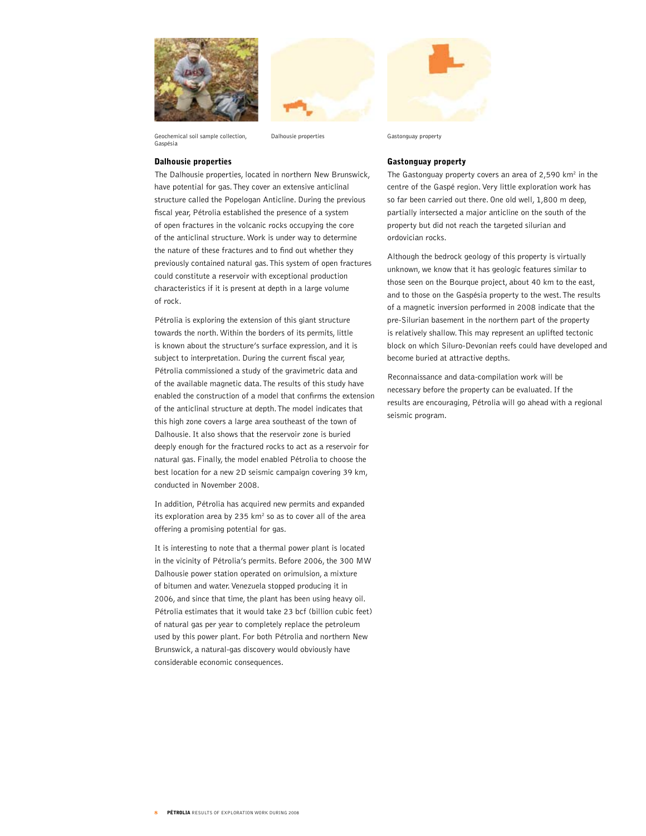



Geochemical soil sample collection, Gaspésia

# Dalhousie properties

The Dalhousie properties, located in northern New Brunswick, have potential for gas. They cover an extensive anticlinal structure called the Popelogan Anticline. During the previous fiscal year, Pétrolia established the presence of a system of open fractures in the volcanic rocks occupying the core of the anticlinal structure. Work is under way to determine the nature of these fractures and to find out whether they previously contained natural gas. This system of open fractures could constitute a reservoir with exceptional production characteristics if it is present at depth in a large volume of rock.

Pétrolia is exploring the extension of this giant structure towards the north. Within the borders of its permits, little is known about the structure's surface expression, and it is subject to interpretation. During the current fiscal year, Pétrolia commissioned a study of the gravimetric data and of the available magnetic data. The results of this study have enabled the construction of a model that confirms the extension of the anticlinal structure at depth. The model indicates that this high zone covers a large area southeast of the town of Dalhousie. It also shows that the reservoir zone is buried deeply enough for the fractured rocks to act as a reservoir for natural gas. Finally, the model enabled Pétrolia to choose the best location for a new 2D seismic campaign covering 39 km, conducted in November 2008.

In addition, Pétrolia has acquired new permits and expanded its exploration area by 235  $km<sup>2</sup>$  so as to cover all of the area offering a promising potential for gas.

It is interesting to note that a thermal power plant is located in the vicinity of Pétrolia's permits. Before 2006, the 300 MW Dalhousie power station operated on orimulsion, a mixture of bitumen and water. Venezuela stopped producing it in 2006, and since that time, the plant has been using heavy oil. Pétrolia estimates that it would take 23 bcf (billion cubic feet) of natural gas per year to completely replace the petroleum used by this power plant. For both Pétrolia and northern New Brunswick, a natural-gas discovery would obviously have considerable economic consequences.



Dalhousie properties Gastonguay property

## Gastonguay property

The Gastonguay property covers an area of  $2,590$  km<sup>2</sup> in the centre of the Gaspé region. Very little exploration work has so far been carried out there. One old well, 1,800 m deep, partially intersected a major anticline on the south of the property but did not reach the targeted silurian and ordovician rocks.

Although the bedrock geology of this property is virtually unknown, we know that it has geologic features similar to those seen on the Bourque project, about 40 km to the east, and to those on the Gaspésia property to the west. The results of a magnetic inversion performed in 2008 indicate that the pre-Silurian basement in the northern part of the property is relatively shallow. This may represent an uplifted tectonic block on which Siluro-Devonian reefs could have developed and become buried at attractive depths.

Reconnaissance and data-compilation work will be necessary before the property can be evaluated. If the results are encouraging, Pétrolia will go ahead with a regional seismic program.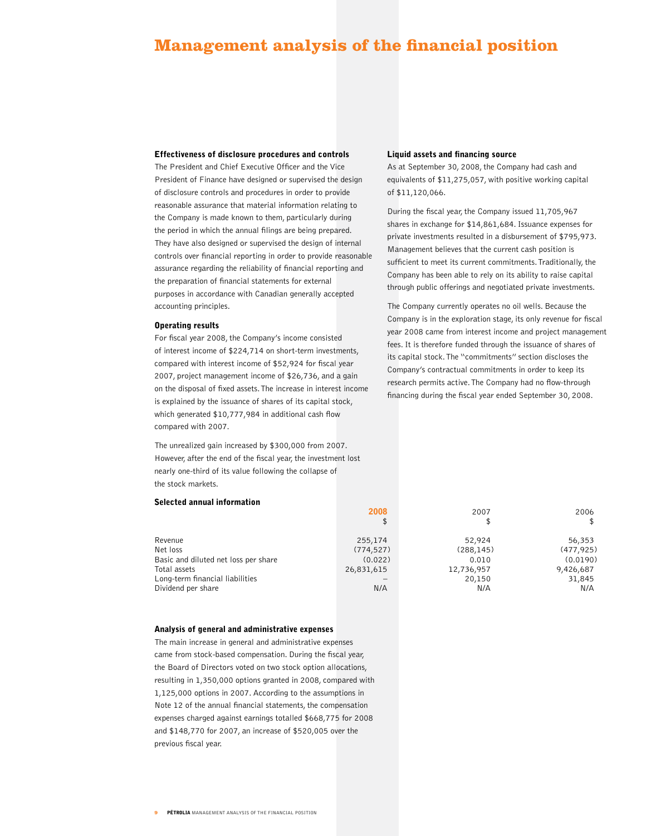# **Management analysis of the financial position**

# Effectiveness of disclosure procedures and controls

The President and Chief Executive Officer and the Vice President of Finance have designed or supervised the design of disclosure controls and procedures in order to provide reasonable assurance that material information relating to the Company is made known to them, particularly during the period in which the annual filings are being prepared. They have also designed or supervised the design of internal controls over financial reporting in order to provide reasonable assurance regarding the reliability of financial reporting and the preparation of financial statements for external purposes in accordance with Canadian generally accepted accounting principles.

## Operating results

For fiscal year 2008, the Company's income consisted of interest income of \$224,714 on short-term investments, compared with interest income of \$52,924 for fiscal year 2007, project management income of \$26,736, and a gain on the disposal of fixed assets. The increase in interest income is explained by the issuance of shares of its capital stock, which generated \$10,777,984 in additional cash flow compared with 2007.

The unrealized gain increased by \$300,000 from 2007. However, after the end of the fiscal year, the investment lost nearly one-third of its value following the collapse of the stock markets.

## Selected annual information

| Revenue                              | 255,174    | 52,924     | 56,353     |
|--------------------------------------|------------|------------|------------|
| Net loss                             | (774, 527) | (288, 145) | (477, 925) |
| Basic and diluted net loss per share | (0.022)    | 0.010      | (0.0190)   |
| Total assets                         | 26,831,615 | 12,736,957 | 9,426,687  |
| Long-term financial liabilities      |            | 20,150     | 31,845     |
| Dividend per share                   | N/A        | N/A        | N/A        |
|                                      |            |            |            |

#### Analysis of general and administrative expenses

The main increase in general and administrative expenses came from stock-based compensation. During the fiscal year, the Board of Directors voted on two stock option allocations, resulting in 1,350,000 options granted in 2008, compared with 1,125,000 options in 2007. According to the assumptions in Note 12 of the annual financial statements, the compensation expenses charged against earnings totalled \$668,775 for 2008 and \$148,770 for 2007, an increase of \$520,005 over the previous fiscal year.

#### Liquid assets and financing source

As at September 30, 2008, the Company had cash and equivalents of \$11,275,057, with positive working capital of \$11,120,066.

During the fiscal year, the Company issued 11,705,967 shares in exchange for \$14,861,684. Issuance expenses for private investments resulted in a disbursement of \$795,973. Management believes that the current cash position is sufficient to meet its current commitments. Traditionally, the Company has been able to rely on its ability to raise capital through public offerings and negotiated private investments.

The Company currently operates no oil wells. Because the Company is in the exploration stage, its only revenue for fiscal year 2008 came from interest income and project management fees. It is therefore funded through the issuance of shares of its capital stock. The "commitments" section discloses the Company's contractual commitments in order to keep its research permits active. The Company had no flow-through financing during the fiscal year ended September 30, 2008.

| 2006       | 2007       | 2008   |
|------------|------------|--------|
| \$         | \$         | \$     |
| 56,353     | 52,924     | 5,174  |
| (477, 925) | (288, 145) | 1,527) |
| (0.0190)   | 0.010      | 0.022) |
| 9,426,687  | 12,736,957 | L,615  |
| 31,845     | 20,150     |        |
| N/A        | N/A        | N/A    |
|            |            |        |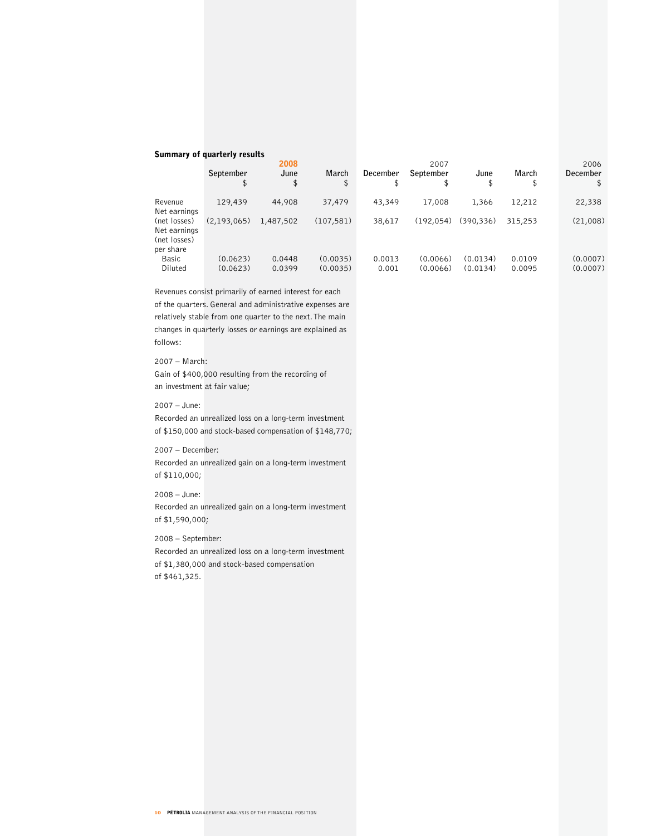# Summary of quarterly results

|                                                           | September<br>\$      | 2008<br>June<br>\$ | March<br>\$          | December<br>\$  | 2007<br>September<br>\$ | June<br>\$           | March<br>\$      | 2006<br><b>December</b><br>\$ |
|-----------------------------------------------------------|----------------------|--------------------|----------------------|-----------------|-------------------------|----------------------|------------------|-------------------------------|
| Revenue<br>Net earnings                                   | 129,439              | 44,908             | 37,479               | 43,349          | 17,008                  | 1,366                | 12,212           | 22,338                        |
| (net losses)<br>Net earnings<br>(net losses)<br>per share | (2, 193, 065)        | 1,487,502          | (107, 581)           | 38,617          | (192.054)               | (390.336)            | 315,253          | (21,008)                      |
| Basic<br>Diluted                                          | (0.0623)<br>(0.0623) | 0.0448<br>0.0399   | (0.0035)<br>(0.0035) | 0.0013<br>0.001 | (0.0066)<br>(0.0066)    | (0.0134)<br>(0.0134) | 0.0109<br>0.0095 | (0.0007)<br>(0.0007)          |

Revenues consist primarily of earned interest for each of the quarters. General and administrative expenses are relatively stable from one quarter to the next. The main changes in quarterly losses or earnings are explained as follows:

# 2007 – March:

Gain of \$400,000 resulting from the recording of an investment at fair value;

# 2007 – June:

Recorded an unrealized loss on a long-term investment of \$150,000 and stock-based compensation of \$148,770;

## 2007 – December:

Recorded an unrealized gain on a long-term investment of \$110,000;

# 2008 – June:

Recorded an unrealized gain on a long-term investment of \$1,590,000;

2008 – September:

Recorded an unrealized loss on a long-term investment of \$1,380,000 and stock-based compensation of \$461,325.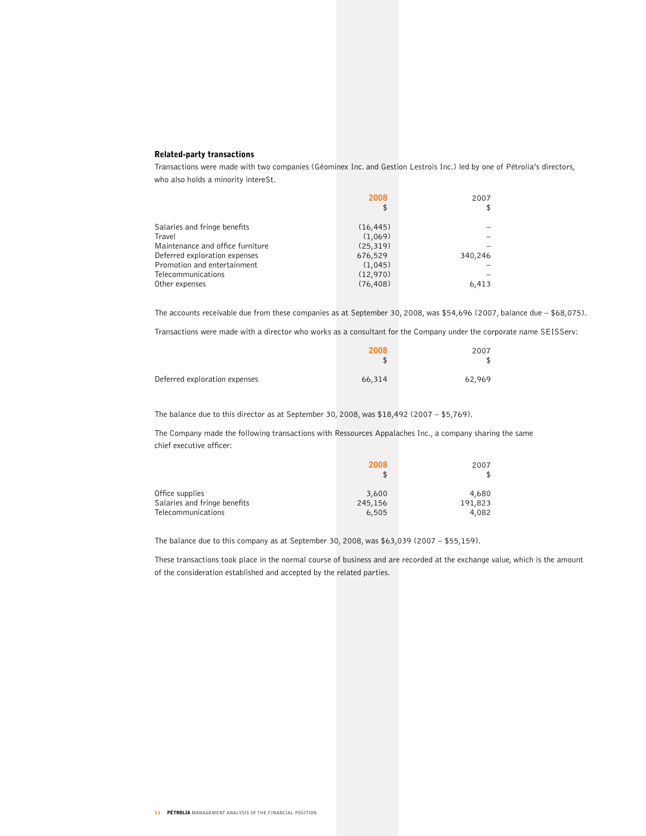# Related-party transactions

Transactions were made with two companies (Géominex Inc. and Gestion Lestrois Inc.) led by one of Pétrolia's directors, who also holds a minority intereSt.

|                                  | 2008      | 2007    |
|----------------------------------|-----------|---------|
|                                  | \$        |         |
| Salaries and fringe benefits     | (16, 445) |         |
| Travel                           | (1,069)   |         |
| Maintenance and office furniture | (25, 319) |         |
| Deferred exploration expenses    | 676,529   | 340,246 |
| Promotion and entertainment      | (1,045)   |         |
| Telecommunications               | (12,970)  |         |
| Other expenses                   | (76, 408) | 6,413   |

The accounts receivable due from these companies as at September 30, 2008, was \$54,696 (2007, balance due – \$68,075).

Transactions were made with a director who works as a consultant for the Company under the corporate name SEISServ:

|                               | 2008<br>\$ | 2007   |
|-------------------------------|------------|--------|
| Deferred exploration expenses | 66,314     | 62,969 |

The balance due to this director as at September 30, 2008, was  $$18,492$  (2007 –  $$5,769$ ).

The Company made the following transactions with Ressources Appalaches Inc., a company sharing the same chief executive officer:

|                              | 2008<br>\$ | 2007    |
|------------------------------|------------|---------|
| Office supplies              | 3,600      | 4,680   |
| Salaries and fringe benefits | 245,156    | 191,823 |
| Telecommunications           | 6,505      | 4,082   |

The balance due to this company as at September 30, 2008, was \$63,039 (2007 – \$55,159).

These transactions took place in the normal course of business and are recorded at the exchange value, which is the amount of the consideration established and accepted by the related parties.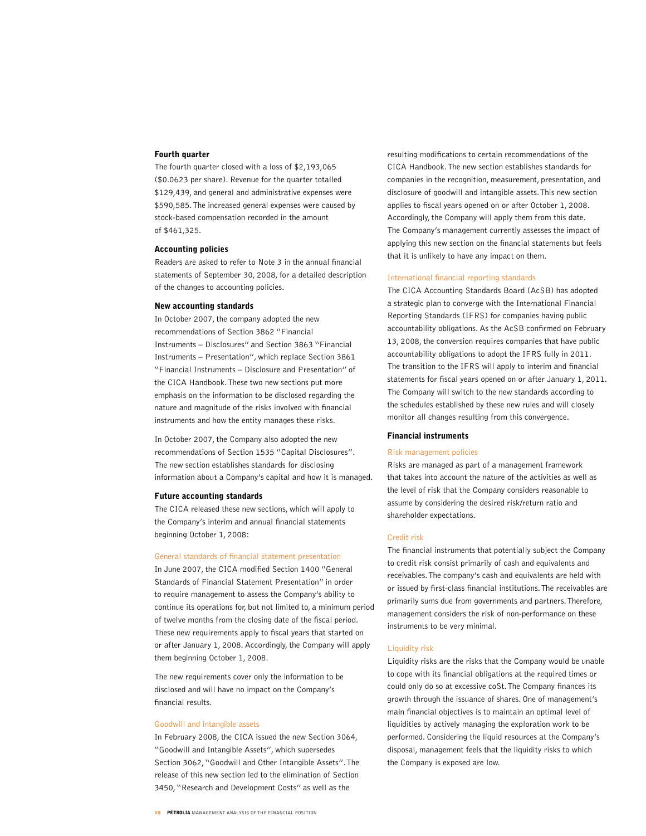# Fourth quarter

The fourth quarter closed with a loss of \$2,193,065 (\$0.0623 per share). Revenue for the quarter totalled \$129,439, and general and administrative expenses were \$590,585. The increased general expenses were caused by stock-based compensation recorded in the amount of \$461,325.

# Accounting policies

Readers are asked to refer to Note 3 in the annual financial statements of September 30, 2008, for a detailed description of the changes to accounting policies.

# New accounting standards

In October 2007, the company adopted the new recommendations of Section 3862 "Financial Instruments – Disclosures" and Section 3863 "Financial Instruments – Presentation", which replace Section 3861 "Financial Instruments – Disclosure and Presentation" of the CICA Handbook. These two new sections put more emphasis on the information to be disclosed regarding the nature and magnitude of the risks involved with financial instruments and how the entity manages these risks.

In October 2007, the Company also adopted the new recommendations of Section 1535 "Capital Disclosures". The new section establishes standards for disclosing information about a Company's capital and how it is managed.

#### Future accounting standards

The CICA released these new sections, which will apply to the Company's interim and annual financial statements beginning October 1, 2008:

#### General standards of financial statement presentation

In June 2007, the CICA modified Section 1400 "General Standards of Financial Statement Presentation" in order to require management to assess the Company's ability to continue its operations for, but not limited to, a minimum period of twelve months from the closing date of the fiscal period. These new requirements apply to fiscal years that started on or after January 1, 2008. Accordingly, the Company will apply them beginning October 1, 2008.

The new requirements cover only the information to be disclosed and will have no impact on the Company's financial results.

# Goodwill and intangible assets

In February 2008, the CICA issued the new Section 3064, "Goodwill and Intangible Assets", which supersedes Section 3062, "Goodwill and Other Intangible Assets". The release of this new section led to the elimination of Section 3450, "Research and Development Costs" as well as the

resulting modifications to certain recommendations of the CICA Handbook. The new section establishes standards for companies in the recognition, measurement, presentation, and disclosure of goodwill and intangible assets. This new section applies to fiscal years opened on or after October 1, 2008. Accordingly, the Company will apply them from this date. The Company's management currently assesses the impact of applying this new section on the financial statements but feels that it is unlikely to have any impact on them.

#### International financial reporting standards

The CICA Accounting Standards Board (AcSB) has adopted a strategic plan to converge with the International Financial Reporting Standards (IFRS) for companies having public accountability obligations. As the AcSB confirmed on February 13, 2008, the conversion requires companies that have public accountability obligations to adopt the IFRS fully in 2011. The transition to the IFRS will apply to interim and financial statements for fiscal years opened on or after January 1, 2011. The Company will switch to the new standards according to the schedules established by these new rules and will closely monitor all changes resulting from this convergence.

#### Financial instruments

#### Risk management policies

Risks are managed as part of a management framework that takes into account the nature of the activities as well as the level of risk that the Company considers reasonable to assume by considering the desired risk/return ratio and shareholder expectations.

## Credit risk

The financial instruments that potentially subject the Company to credit risk consist primarily of cash and equivalents and receivables. The company's cash and equivalents are held with or issued by first-class financial institutions. The receivables are primarily sums due from governments and partners. Therefore, management considers the risk of non-performance on these instruments to be very minimal.

#### Liquidity risk

Liquidity risks are the risks that the Company would be unable to cope with its financial obligations at the required times or could only do so at excessive coSt. The Company finances its growth through the issuance of shares. One of management's main financial objectives is to maintain an optimal level of liquidities by actively managing the exploration work to be performed. Considering the liquid resources at the Company's disposal, management feels that the liquidity risks to which the Company is exposed are low.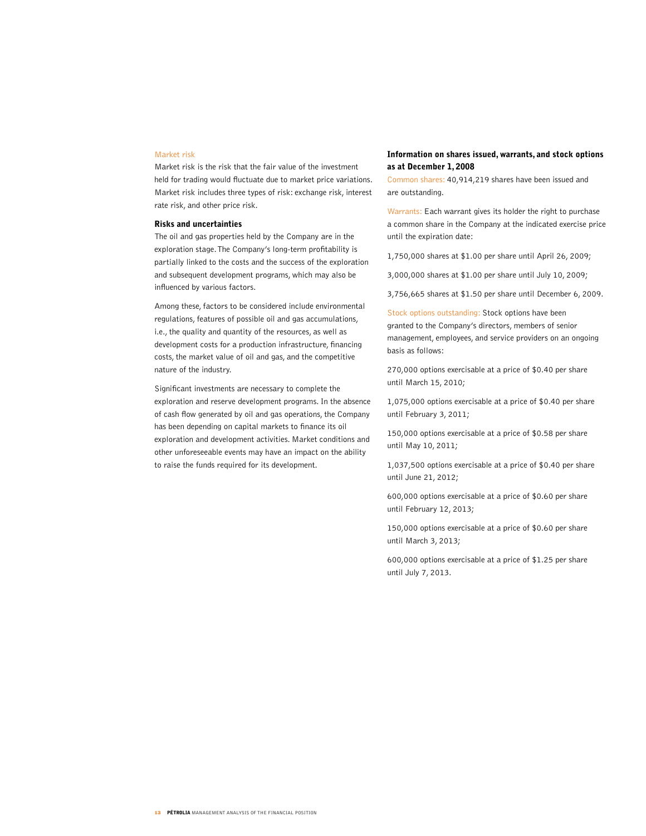# Market risk

Market risk is the risk that the fair value of the investment held for trading would fluctuate due to market price variations. Market risk includes three types of risk: exchange risk, interest rate risk, and other price risk.

## Risks and uncertainties

The oil and gas properties held by the Company are in the exploration stage. The Company's long-term profitability is partially linked to the costs and the success of the exploration and subsequent development programs, which may also be influenced by various factors.

Among these, factors to be considered include environmental regulations, features of possible oil and gas accumulations, i.e., the quality and quantity of the resources, as well as development costs for a production infrastructure, financing costs, the market value of oil and gas, and the competitive nature of the industry.

Significant investments are necessary to complete the exploration and reserve development programs. In the absence of cash flow generated by oil and gas operations, the Company has been depending on capital markets to finance its oil exploration and development activities. Market conditions and other unforeseeable events may have an impact on the ability to raise the funds required for its development.

# Information on shares issued, warrants, and stock options as at December 1, 2008

Common shares: 40,914,219 shares have been issued and are outstanding.

Warrants: Each warrant gives its holder the right to purchase a common share in the Company at the indicated exercise price until the expiration date:

1,750,000 shares at \$1.00 per share until April 26, 2009;

3,000,000 shares at \$1.00 per share until July 10, 2009;

3,756,665 shares at \$1.50 per share until December 6, 2009.

Stock options outstanding: Stock options have been granted to the Company's directors, members of senior management, employees, and service providers on an ongoing basis as follows:

270,000 options exercisable at a price of \$0.40 per share until March 15, 2010;

1,075,000 options exercisable at a price of \$0.40 per share until February 3, 2011;

150,000 options exercisable at a price of \$0.58 per share until May 10, 2011;

1,037,500 options exercisable at a price of \$0.40 per share until June 21, 2012;

600,000 options exercisable at a price of \$0.60 per share until February 12, 2013;

150,000 options exercisable at a price of \$0.60 per share until March 3, 2013;

600,000 options exercisable at a price of \$1.25 per share until July 7, 2013.